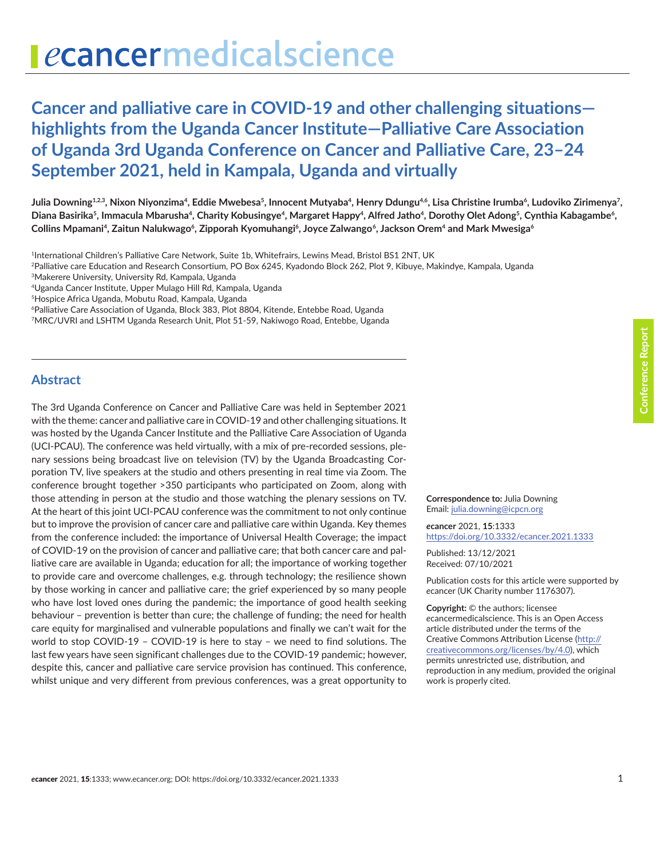# ecancermedicalscience

## **Cancer and palliative care in COVID-19 and other challenging situations highlights from the Uganda Cancer Institute—Palliative Care Association of Uganda 3rd Uganda Conference on Cancer and Palliative Care, 23–24 September 2021, held in Kampala, Uganda and virtually**

Julia Downing $^{12.3},$  Nixon Niyonzima<sup>4</sup>, Eddie Mwebesa<sup>5</sup>, Innocent Mutyaba<sup>4</sup>, Henry Ddungu<sup>4.6</sup>, Lisa Christine Irumba<sup>6</sup>, Ludoviko Zirimenya<sup>7</sup>, Diana Basirika<sup>5</sup>, Immacula Mbarusha<sup>4</sup>, Charity Kobusingye<sup>4</sup>, Margaret Happy<sup>4</sup>, Alfred Jatho<sup>4</sup>, Dorothy Olet Adong<sup>5</sup>, Cynthia Kabagambe<sup>6</sup>, **Collins Mpamani<sup>4</sup> , Zaitun Nalukwago<sup>6</sup> , Zipporah Kyomuhangi<sup>6</sup> , Joyce Zalwango<sup>6</sup> , Jackson Orem<sup>4</sup> and Mark Mwesiga<sup>6</sup>**

<sup>1</sup>International Children's Palliative Care Network, Suite 1b, Whitefrairs, Lewins Mead, Bristol BS1 2NT, UK

<sup>2</sup>Palliative care Education and Research Consortium, PO Box 6245, Kyadondo Block 262, Plot 9, Kibuye, Makindye, Kampala, Uganda

<sup>3</sup>Makerere University, University Rd, Kampala, Uganda

- <sup>4</sup>Uganda Cancer Institute, Upper Mulago Hill Rd, Kampala, Uganda
- <sup>5</sup>Hospice Africa Uganda, Mobutu Road, Kampala, Uganda
- <sup>6</sup>Palliative Care Association of Uganda, Block 383, Plot 8804, Kitende, Entebbe Road, Uganda
- <sup>7</sup>MRC/UVRI and LSHTM Uganda Research Unit, Plot 51-59, Nakiwogo Road, Entebbe, Uganda

#### **Abstract**

The 3rd Uganda Conference on Cancer and Palliative Care was held in September 2021 with the theme: cancer and palliative care in COVID-19 and other challenging situations. It was hosted by the Uganda Cancer Institute and the Palliative Care Association of Uganda (UCI-PCAU). The conference was held virtually, with a mix of pre-recorded sessions, plenary sessions being broadcast live on television (TV) by the Uganda Broadcasting Corporation TV, live speakers at the studio and others presenting in real time via Zoom. The conference brought together >350 participants who participated on Zoom, along with those attending in person at the studio and those watching the plenary sessions on TV. At the heart of this joint UCI-PCAU conference was the commitment to not only continue but to improve the provision of cancer care and palliative care within Uganda. Key themes from the conference included: the importance of Universal Health Coverage; the impact of COVID-19 on the provision of cancer and palliative care; that both cancer care and palliative care are available in Uganda; education for all; the importance of working together to provide care and overcome challenges, e.g. through technology; the resilience shown by those working in cancer and palliative care; the grief experienced by so many people who have lost loved ones during the pandemic; the importance of good health seeking behaviour – prevention is better than cure; the challenge of funding; the need for health care equity for marginalised and vulnerable populations and finally we can't wait for the world to stop COVID-19 – COVID-19 is here to stay – we need to find solutions. The last few years have seen significant challenges due to the COVID-19 pandemic; however, despite this, cancer and palliative care service provision has continued. This conference, whilst unique and very different from previous conferences, was a great opportunity to

**Correspondence to:** Julia Downing Email: [julia.downing@icpcn.org](mailto:julia.downing@icpcn.org)

*e***cancer** 2021, **15**:1333 <https://doi.org/10.3332/ecancer.2021.1333>

Published: 13/12/2021 Received: 07/10/2021

Publication costs for this article were supported by *e*cancer (UK Charity number 1176307).

**Copyright:** © the authors; licensee *e*cancermedicalscience. This is an Open Access article distributed under the terms of the Creative Commons Attribution License ([http://](http://creativecommons.org/licenses/by/4.0) [creativecommons.org/licenses/by/4.0\)](http://creativecommons.org/licenses/by/4.0), which permits unrestricted use, distribution, and reproduction in any medium, provided the original work is properly cited.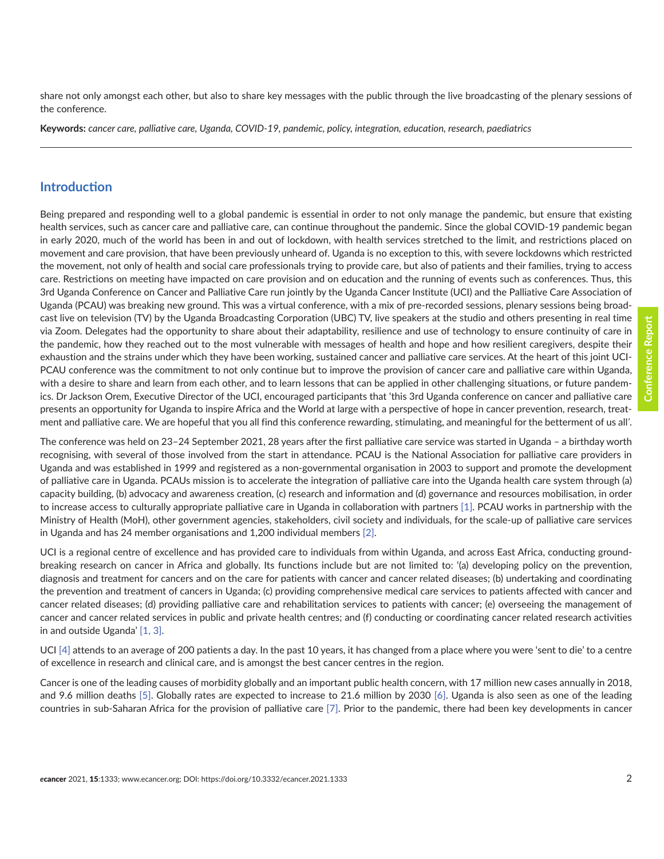Conference Report **Conference Report**

share not only amongst each other, but also to share key messages with the public through the live broadcasting of the plenary sessions of the conference.

**Keywords:** *cancer care, palliative care, Uganda, COVID-19, pandemic, policy, integration, education, research, paediatrics*

#### **Introduction**

Being prepared and responding well to a global pandemic is essential in order to not only manage the pandemic, but ensure that existing health services, such as cancer care and palliative care, can continue throughout the pandemic. Since the global COVID-19 pandemic began in early 2020, much of the world has been in and out of lockdown, with health services stretched to the limit, and restrictions placed on movement and care provision, that have been previously unheard of. Uganda is no exception to this, with severe lockdowns which restricted the movement, not only of health and social care professionals trying to provide care, but also of patients and their families, trying to access care. Restrictions on meeting have impacted on care provision and on education and the running of events such as conferences. Thus, this 3rd Uganda Conference on Cancer and Palliative Care run jointly by the Uganda Cancer Institute (UCI) and the Palliative Care Association of Uganda (PCAU) was breaking new ground. This was a virtual conference, with a mix of pre-recorded sessions, plenary sessions being broadcast live on television (TV) by the Uganda Broadcasting Corporation (UBC) TV, live speakers at the studio and others presenting in real time via Zoom. Delegates had the opportunity to share about their adaptability, resilience and use of technology to ensure continuity of care in the pandemic, how they reached out to the most vulnerable with messages of health and hope and how resilient caregivers, despite their exhaustion and the strains under which they have been working, sustained cancer and palliative care services. At the heart of this joint UCI-PCAU conference was the commitment to not only continue but to improve the provision of cancer care and palliative care within Uganda, with a desire to share and learn from each other, and to learn lessons that can be applied in other challenging situations, or future pandemics. Dr Jackson Orem, Executive Director of the UCI, encouraged participants that 'this 3rd Uganda conference on cancer and palliative care presents an opportunity for Uganda to inspire Africa and the World at large with a perspective of hope in cancer prevention, research, treatment and palliative care. We are hopeful that you all find this conference rewarding, stimulating, and meaningful for the betterment of us all*'*.

The conference was held on 23–24 September 2021, 28 years after the first palliative care service was started in Uganda – a birthday worth recognising, with several of those involved from the start in attendance. PCAU is the National Association for palliative care providers in Uganda and was established in 1999 and registered as a non-governmental organisation in 2003 to support and promote the development of palliative care in Uganda. PCAUs mission is to accelerate the integration of palliative care into the Uganda health care system through (a) capacity building, (b) advocacy and awareness creation, (c) research and information and (d) governance and resources mobilisation, in order to increase access to culturally appropriate palliative care in Uganda in collaboration with partners [\[1\].](#page-10-0) PCAU works in partnership with the Ministry of Health (MoH), other government agencies, stakeholders, civil society and individuals, for the scale-up of palliative care services in Uganda and has 24 member organisations and 1,200 individual members [\[2\]](#page-10-0).

UCI is a regional centre of excellence and has provided care to individuals from within Uganda, and across East Africa, conducting groundbreaking research on cancer in Africa and globally. Its functions include but are not limited to: '(a) developing policy on the prevention, diagnosis and treatment for cancers and on the care for patients with cancer and cancer related diseases; (b) undertaking and coordinating the prevention and treatment of cancers in Uganda; (c) providing comprehensive medical care services to patients affected with cancer and cancer related diseases; (d) providing palliative care and rehabilitation services to patients with cancer; (e) overseeing the management of cancer and cancer related services in public and private health centres; and (f) conducting or coordinating cancer related research activities in and outside Uganda' [\[1, 3\]](#page-10-0).

UCI [\[4\]](#page-10-0) attends to an average of 200 patients a day. In the past 10 years, it has changed from a place where you were 'sent to die' to a centre of excellence in research and clinical care, and is amongst the best cancer centres in the region.

Cancer is one of the leading causes of morbidity globally and an important public health concern, with 17 million new cases annually in 2018, and 9.6 million deaths [\[5\]](#page-10-0). Globally rates are expected to increase to 21.6 million by 2030 [\[6\]](#page-10-0). Uganda is also seen as one of the leading countries in sub-Saharan Africa for the provision of palliative care [\[7\].](#page-10-0) Prior to the pandemic, there had been key developments in cancer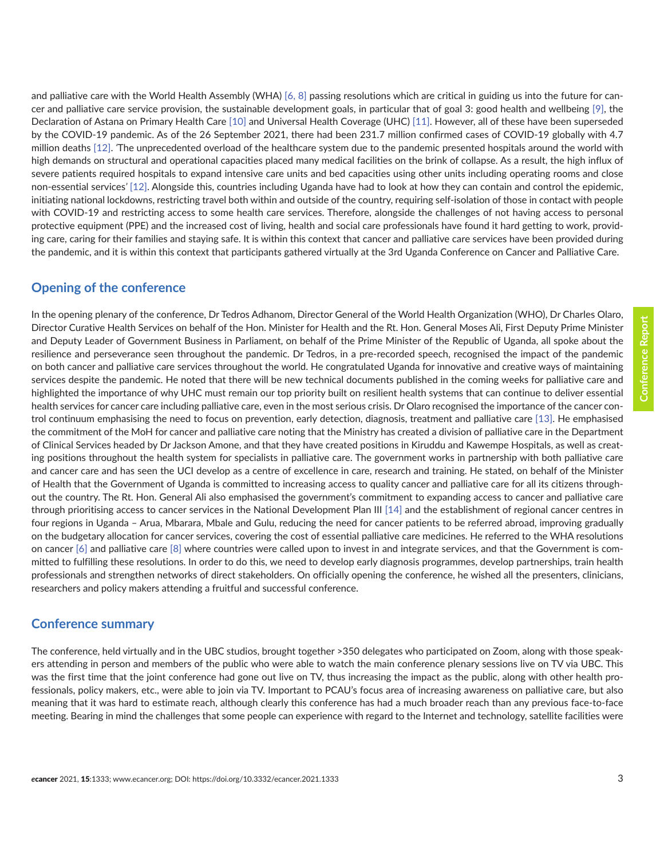and palliative care with the World Health Assembly (WHA) [\[6, 8\]](#page-10-0) passing resolutions which are critical in guiding us into the future for cancer and palliative care service provision, the sustainable development goals, in particular that of goal 3: good health and wellbeing [\[9\]](#page-10-0), the Declaration of Astana on Primary Health Care [\[10\]](#page-10-0) and Universal Health Coverage (UHC) [\[11\]](#page-10-0). However, all of these have been superseded by the COVID-19 pandemic. As of the 26 September 2021, there had been 231.7 million confirmed cases of COVID-19 globally with 4.7 million deaths [\[12\]](#page-10-0). *'*The unprecedented overload of the healthcare system due to the pandemic presented hospitals around the world with high demands on structural and operational capacities placed many medical facilities on the brink of collapse. As a result, the high influx of severe patients required hospitals to expand intensive care units and bed capacities using other units including operating rooms and close non-essential services*'* [\[12\].](#page-10-0) Alongside this, countries including Uganda have had to look at how they can contain and control the epidemic, initiating national lockdowns, restricting travel both within and outside of the country, requiring self-isolation of those in contact with people with COVID-19 and restricting access to some health care services. Therefore, alongside the challenges of not having access to personal protective equipment (PPE) and the increased cost of living, health and social care professionals have found it hard getting to work, providing care, caring for their families and staying safe. It is within this context that cancer and palliative care services have been provided during the pandemic, and it is within this context that participants gathered virtually at the 3rd Uganda Conference on Cancer and Palliative Care.

#### **Opening of the conference**

In the opening plenary of the conference, Dr Tedros Adhanom, Director General of the World Health Organization (WHO), Dr Charles Olaro, Director Curative Health Services on behalf of the Hon. Minister for Health and the Rt. Hon. General Moses Ali, First Deputy Prime Minister and Deputy Leader of Government Business in Parliament, on behalf of the Prime Minister of the Republic of Uganda, all spoke about the resilience and perseverance seen throughout the pandemic. Dr Tedros, in a pre-recorded speech, recognised the impact of the pandemic on both cancer and palliative care services throughout the world. He congratulated Uganda for innovative and creative ways of maintaining services despite the pandemic. He noted that there will be new technical documents published in the coming weeks for palliative care and highlighted the importance of why UHC must remain our top priority built on resilient health systems that can continue to deliver essential health services for cancer care including palliative care, even in the most serious crisis. Dr Olaro recognised the importance of the cancer control continuum emphasising the need to focus on prevention, early detection, diagnosis, treatment and palliative care [\[13\].](#page-10-0) He emphasised the commitment of the MoH for cancer and palliative care noting that the Ministry has created a division of palliative care in the Department of Clinical Services headed by Dr Jackson Amone, and that they have created positions in Kiruddu and Kawempe Hospitals, as well as creating positions throughout the health system for specialists in palliative care. The government works in partnership with both palliative care and cancer care and has seen the UCI develop as a centre of excellence in care, research and training. He stated, on behalf of the Minister of Health that the Government of Uganda is committed to increasing access to quality cancer and palliative care for all its citizens throughout the country. The Rt. Hon. General Ali also emphasised the government's commitment to expanding access to cancer and palliative care through prioritising access to cancer services in the National Development Plan III [\[14\]](#page-11-0) and the establishment of regional cancer centres in four regions in Uganda – Arua, Mbarara, Mbale and Gulu, reducing the need for cancer patients to be referred abroad, improving gradually on the budgetary allocation for cancer services, covering the cost of essential palliative care medicines. He referred to the WHA resolutions on cancer  $[6]$  and palliative care  $[8]$  where countries were called upon to invest in and integrate services, and that the Government is committed to fulfilling these resolutions. In order to do this, we need to develop early diagnosis programmes, develop partnerships, train health professionals and strengthen networks of direct stakeholders. On officially opening the conference, he wished all the presenters, clinicians, researchers and policy makers attending a fruitful and successful conference.

#### **Conference summary**

The conference, held virtually and in the UBC studios, brought together >350 delegates who participated on Zoom, along with those speakers attending in person and members of the public who were able to watch the main conference plenary sessions live on TV via UBC. This was the first time that the joint conference had gone out live on TV, thus increasing the impact as the public, along with other health professionals, policy makers, etc., were able to join via TV. Important to PCAU's focus area of increasing awareness on palliative care, but also meaning that it was hard to estimate reach, although clearly this conference has had a much broader reach than any previous face-to-face meeting. Bearing in mind the challenges that some people can experience with regard to the Internet and technology, satellite facilities were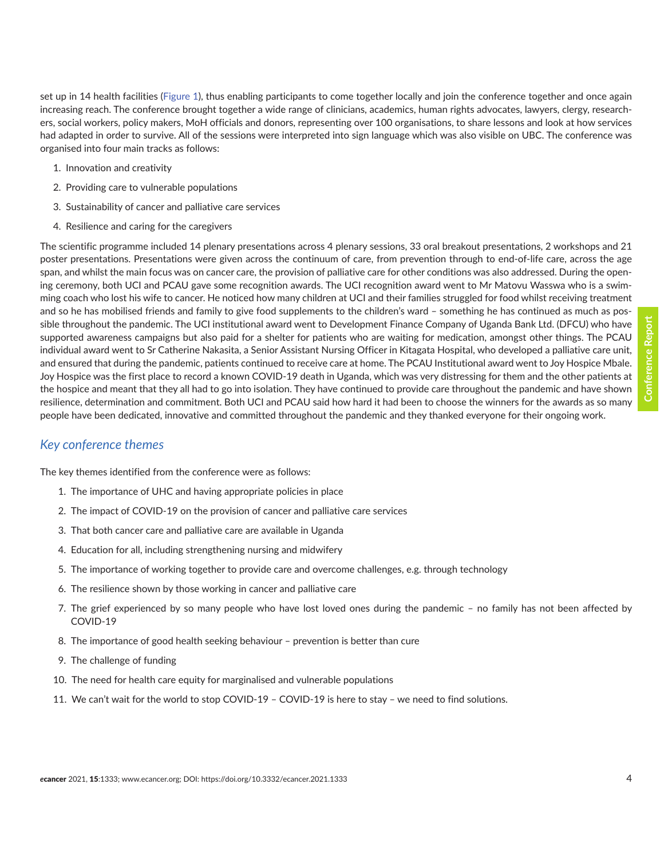set up in 14 health facilities ([Figure 1](#page-4-0)), thus enabling participants to come together locally and join the conference together and once again increasing reach. The conference brought together a wide range of clinicians, academics, human rights advocates, lawyers, clergy, researchers, social workers, policy makers, MoH officials and donors, representing over 100 organisations, to share lessons and look at how services had adapted in order to survive. All of the sessions were interpreted into sign language which was also visible on UBC. The conference was organised into four main tracks as follows:

- 1. Innovation and creativity
- 2. Providing care to vulnerable populations
- 3. Sustainability of cancer and palliative care services
- 4. Resilience and caring for the caregivers

The scientific programme included 14 plenary presentations across 4 plenary sessions, 33 oral breakout presentations, 2 workshops and 21 poster presentations. Presentations were given across the continuum of care, from prevention through to end-of-life care, across the age span, and whilst the main focus was on cancer care, the provision of palliative care for other conditions was also addressed. During the opening ceremony, both UCI and PCAU gave some recognition awards. The UCI recognition award went to Mr Matovu Wasswa who is a swimming coach who lost his wife to cancer. He noticed how many children at UCI and their families struggled for food whilst receiving treatment and so he has mobilised friends and family to give food supplements to the children's ward – something he has continued as much as possible throughout the pandemic. The UCI institutional award went to Development Finance Company of Uganda Bank Ltd. (DFCU) who have supported awareness campaigns but also paid for a shelter for patients who are waiting for medication, amongst other things. The PCAU individual award went to Sr Catherine Nakasita, a Senior Assistant Nursing Officer in Kitagata Hospital, who developed a palliative care unit, and ensured that during the pandemic, patients continued to receive care at home. The PCAU Institutional award went to Joy Hospice Mbale. Joy Hospice was the first place to record a known COVID-19 death in Uganda, which was very distressing for them and the other patients at the hospice and meant that they all had to go into isolation. They have continued to provide care throughout the pandemic and have shown resilience, determination and commitment. Both UCI and PCAU said how hard it had been to choose the winners for the awards as so many people have been dedicated, innovative and committed throughout the pandemic and they thanked everyone for their ongoing work.

#### *Key conference themes*

The key themes identified from the conference were as follows:

- 1. The importance of UHC and having appropriate policies in place
- 2. The impact of COVID-19 on the provision of cancer and palliative care services
- 3. That both cancer care and palliative care are available in Uganda
- 4. Education for all, including strengthening nursing and midwifery
- 5. The importance of working together to provide care and overcome challenges, e.g. through technology
- 6. The resilience shown by those working in cancer and palliative care
- 7. The grief experienced by so many people who have lost loved ones during the pandemic no family has not been affected by COVID-19
- 8. The importance of good health seeking behaviour prevention is better than cure
- 9. The challenge of funding
- 10. The need for health care equity for marginalised and vulnerable populations
- 11. We can't wait for the world to stop COVID-19 COVID-19 is here to stay we need to find solutions.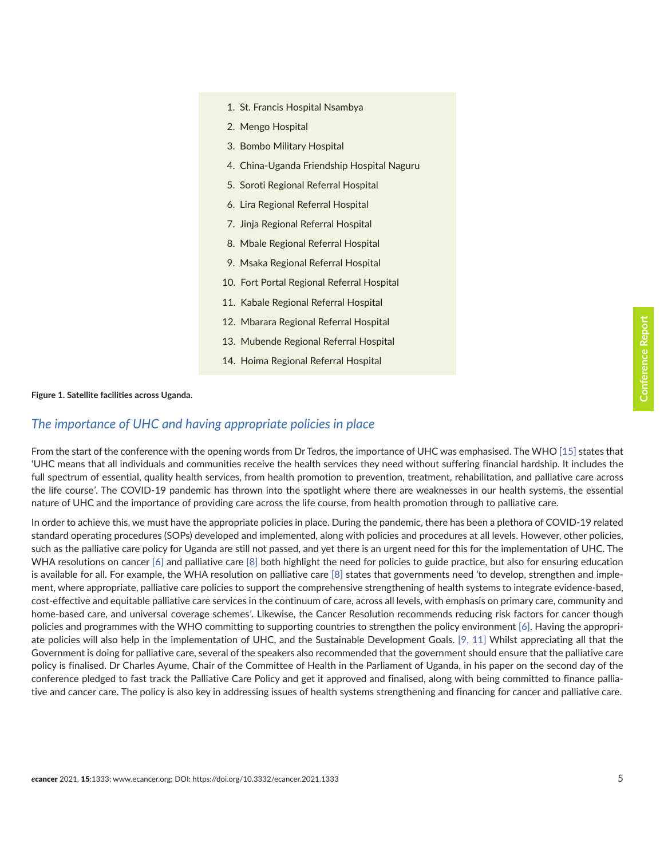- <span id="page-4-0"></span>1. St. Francis Hospital Nsambya
- 2. Mengo Hospital
- 3. Bombo Military Hospital
- 4. China-Uganda Friendship Hospital Naguru
- 5. Soroti Regional Referral Hospital
- 6. Lira Regional Referral Hospital
- 7. Jinja Regional Referral Hospital
- 8. Mbale Regional Referral Hospital
- 9. Msaka Regional Referral Hospital
- 10. Fort Portal Regional Referral Hospital
- 11. Kabale Regional Referral Hospital
- 12. Mbarara Regional Referral Hospital
- 13. Mubende Regional Referral Hospital
- 14. Hoima Regional Referral Hospital

#### **Figure 1. Satellite facilities across Uganda.**

#### *The importance of UHC and having appropriate policies in place*

From the start of the conference with the opening words from Dr Tedros, the importance of UHC was emphasised. The WHO [\[15\]](#page-11-0) states that 'UHC means that all individuals and communities receive the health services they need without suffering financial hardship. It includes the full spectrum of essential, quality health services, from health promotion to prevention, treatment, rehabilitation, and palliative care across the life course*'*. The COVID-19 pandemic has thrown into the spotlight where there are weaknesses in our health systems, the essential nature of UHC and the importance of providing care across the life course, from health promotion through to palliative care.

In order to achieve this, we must have the appropriate policies in place. During the pandemic, there has been a plethora of COVID-19 related standard operating procedures (SOPs) developed and implemented, along with policies and procedures at all levels. However, other policies, such as the palliative care policy for Uganda are still not passed, and yet there is an urgent need for this for the implementation of UHC. The WHA resolutions on cancer  $\lceil 6 \rceil$  and palliative care  $\lceil 8 \rceil$  both highlight the need for policies to guide practice, but also for ensuring education is available for all. For example, the WHA resolution on palliative care [\[8\]](#page-10-0) states that governments need *'*to develop, strengthen and implement, where appropriate, palliative care policies to support the comprehensive strengthening of health systems to integrate evidence-based, cost-effective and equitable palliative care services in the continuum of care, across all levels, with emphasis on primary care, community and home-based care, and universal coverage schemes*'*. Likewise, the Cancer Resolution recommends reducing risk factors for cancer though policies and programmes with the WHO committing to supporting countries to strengthen the policy environment [\[6\].](#page-10-0) Having the appropriate policies will also help in the implementation of UHC, and the Sustainable Development Goals. [\[9, 11\]](#page-10-0) Whilst appreciating all that the Government is doing for palliative care, several of the speakers also recommended that the government should ensure that the palliative care policy is finalised. Dr Charles Ayume, Chair of the Committee of Health in the Parliament of Uganda, in his paper on the second day of the conference pledged to fast track the Palliative Care Policy and get it approved and finalised, along with being committed to finance palliative and cancer care. The policy is also key in addressing issues of health systems strengthening and financing for cancer and palliative care.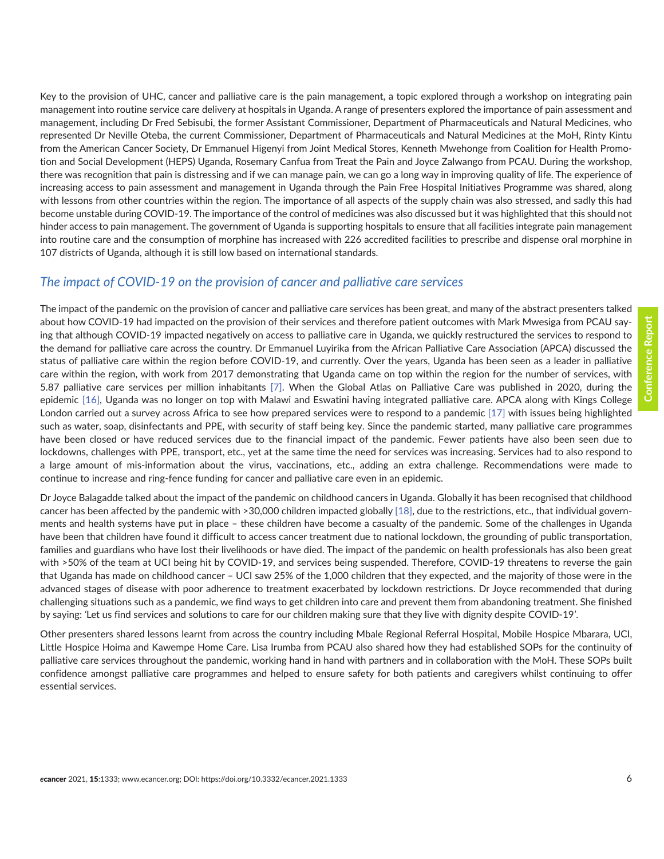Key to the provision of UHC, cancer and palliative care is the pain management, a topic explored through a workshop on integrating pain management into routine service care delivery at hospitals in Uganda. A range of presenters explored the importance of pain assessment and management, including Dr Fred Sebisubi, the former Assistant Commissioner, Department of Pharmaceuticals and Natural Medicines, who represented Dr Neville Oteba, the current Commissioner, Department of Pharmaceuticals and Natural Medicines at the MoH, Rinty Kintu from the American Cancer Society, Dr Emmanuel Higenyi from Joint Medical Stores, Kenneth Mwehonge from Coalition for Health Promotion and Social Development (HEPS) Uganda, Rosemary Canfua from Treat the Pain and Joyce Zalwango from PCAU. During the workshop, there was recognition that pain is distressing and if we can manage pain, we can go a long way in improving quality of life. The experience of increasing access to pain assessment and management in Uganda through the Pain Free Hospital Initiatives Programme was shared, along with lessons from other countries within the region. The importance of all aspects of the supply chain was also stressed, and sadly this had become unstable during COVID-19. The importance of the control of medicines was also discussed but it was highlighted that this should not hinder access to pain management. The government of Uganda is supporting hospitals to ensure that all facilities integrate pain management into routine care and the consumption of morphine has increased with 226 accredited facilities to prescribe and dispense oral morphine in 107 districts of Uganda, although it is still low based on international standards.

#### *The impact of COVID-19 on the provision of cancer and palliative care services*

The impact of the pandemic on the provision of cancer and palliative care services has been great, and many of the abstract presenters talked about how COVID-19 had impacted on the provision of their services and therefore patient outcomes with Mark Mwesiga from PCAU saying that although COVID-19 impacted negatively on access to palliative care in Uganda, we quickly restructured the services to respond to the demand for palliative care across the country. Dr Emmanuel Luyirika from the African Palliative Care Association (APCA) discussed the status of palliative care within the region before COVID-19, and currently. Over the years, Uganda has been seen as a leader in palliative care within the region, with work from 2017 demonstrating that Uganda came on top within the region for the number of services, with 5.87 palliative care services per million inhabitants [\[7\]](#page-10-0). When the Global Atlas on Palliative Care was published in 2020, during the epidemic [\[16\],](#page-11-0) Uganda was no longer on top with Malawi and Eswatini having integrated palliative care. APCA along with Kings College London carried out a survey across Africa to see how prepared services were to respond to a pandemic [\[17\]](#page-11-0) with issues being highlighted such as water, soap, disinfectants and PPE, with security of staff being key. Since the pandemic started, many palliative care programmes have been closed or have reduced services due to the financial impact of the pandemic. Fewer patients have also been seen due to lockdowns, challenges with PPE, transport, etc., yet at the same time the need for services was increasing. Services had to also respond to a large amount of mis-information about the virus, vaccinations, etc., adding an extra challenge. Recommendations were made to continue to increase and ring-fence funding for cancer and palliative care even in an epidemic.

Dr Joyce Balagadde talked about the impact of the pandemic on childhood cancers in Uganda. Globally it has been recognised that childhood cancer has been affected by the pandemic with >30,000 children impacted globally [\[18\]](#page-11-0), due to the restrictions, etc., that individual governments and health systems have put in place – these children have become a casualty of the pandemic. Some of the challenges in Uganda have been that children have found it difficult to access cancer treatment due to national lockdown, the grounding of public transportation, families and guardians who have lost their livelihoods or have died. The impact of the pandemic on health professionals has also been great with >50% of the team at UCI being hit by COVID-19, and services being suspended. Therefore, COVID-19 threatens to reverse the gain that Uganda has made on childhood cancer – UCI saw 25% of the 1,000 children that they expected, and the majority of those were in the advanced stages of disease with poor adherence to treatment exacerbated by lockdown restrictions. Dr Joyce recommended that during challenging situations such as a pandemic, we find ways to get children into care and prevent them from abandoning treatment. She finished by saying: *'*Let us find services and solutions to care for our children making sure that they live with dignity despite COVID-19*'*.

Other presenters shared lessons learnt from across the country including Mbale Regional Referral Hospital, Mobile Hospice Mbarara, UCI, Little Hospice Hoima and Kawempe Home Care. Lisa Irumba from PCAU also shared how they had established SOPs for the continuity of palliative care services throughout the pandemic, working hand in hand with partners and in collaboration with the MoH. These SOPs built confidence amongst palliative care programmes and helped to ensure safety for both patients and caregivers whilst continuing to offer essential services.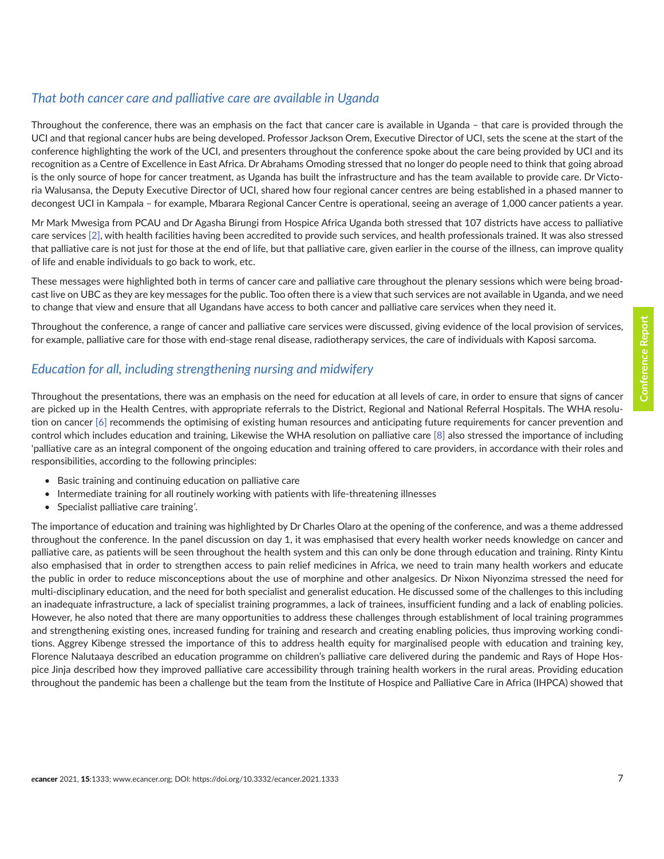#### *That both cancer care and palliative care are available in Uganda*

Throughout the conference, there was an emphasis on the fact that cancer care is available in Uganda – that care is provided through the UCI and that regional cancer hubs are being developed. Professor Jackson Orem, Executive Director of UCI, sets the scene at the start of the conference highlighting the work of the UCI, and presenters throughout the conference spoke about the care being provided by UCI and its recognition as a Centre of Excellence in East Africa. Dr Abrahams Omoding stressed that no longer do people need to think that going abroad is the only source of hope for cancer treatment, as Uganda has built the infrastructure and has the team available to provide care. Dr Victoria Walusansa, the Deputy Executive Director of UCI, shared how four regional cancer centres are being established in a phased manner to decongest UCI in Kampala – for example, Mbarara Regional Cancer Centre is operational, seeing an average of 1,000 cancer patients a year.

Mr Mark Mwesiga from PCAU and Dr Agasha Birungi from Hospice Africa Uganda both stressed that 107 districts have access to palliative care services [\[2\]](#page-10-0), with health facilities having been accredited to provide such services, and health professionals trained. It was also stressed that palliative care is not just for those at the end of life, but that palliative care, given earlier in the course of the illness, can improve quality of life and enable individuals to go back to work, etc.

These messages were highlighted both in terms of cancer care and palliative care throughout the plenary sessions which were being broadcast live on UBC as they are key messages for the public. Too often there is a view that such services are not available in Uganda, and we need to change that view and ensure that all Ugandans have access to both cancer and palliative care services when they need it.

Throughout the conference, a range of cancer and palliative care services were discussed, giving evidence of the local provision of services, for example, palliative care for those with end-stage renal disease, radiotherapy services, the care of individuals with Kaposi sarcoma.

#### *Education for all, including strengthening nursing and midwifery*

Throughout the presentations, there was an emphasis on the need for education at all levels of care, in order to ensure that signs of cancer are picked up in the Health Centres, with appropriate referrals to the District, Regional and National Referral Hospitals. The WHA resolution on cancer [\[6\]](#page-10-0) recommends the optimising of existing human resources and anticipating future requirements for cancer prevention and control which includes education and training, Likewise the WHA resolution on palliative care [\[8\]](#page-10-0) also stressed the importance of including 'palliative care as an integral component of the ongoing education and training offered to care providers, in accordance with their roles and responsibilities, according to the following principles:

- Basic training and continuing education on palliative care
- Intermediate training for all routinely working with patients with life-threatening illnesses
- Specialist palliative care training*'*.

The importance of education and training was highlighted by Dr Charles Olaro at the opening of the conference, and was a theme addressed throughout the conference. In the panel discussion on day 1, it was emphasised that every health worker needs knowledge on cancer and palliative care, as patients will be seen throughout the health system and this can only be done through education and training. Rinty Kintu also emphasised that in order to strengthen access to pain relief medicines in Africa, we need to train many health workers and educate the public in order to reduce misconceptions about the use of morphine and other analgesics. Dr Nixon Niyonzima stressed the need for multi-disciplinary education, and the need for both specialist and generalist education. He discussed some of the challenges to this including an inadequate infrastructure, a lack of specialist training programmes, a lack of trainees, insufficient funding and a lack of enabling policies. However, he also noted that there are many opportunities to address these challenges through establishment of local training programmes and strengthening existing ones, increased funding for training and research and creating enabling policies, thus improving working conditions. Aggrey Kibenge stressed the importance of this to address health equity for marginalised people with education and training key, Florence Nalutaaya described an education programme on children's palliative care delivered during the pandemic and Rays of Hope Hospice Jinja described how they improved palliative care accessibility through training health workers in the rural areas. Providing education throughout the pandemic has been a challenge but the team from the Institute of Hospice and Palliative Care in Africa (IHPCA) showed that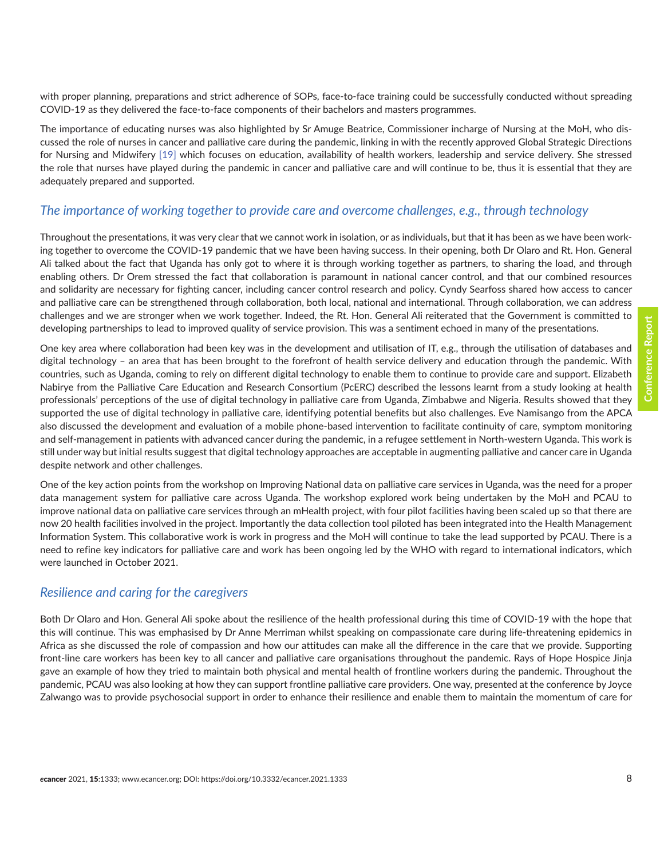with proper planning, preparations and strict adherence of SOPs, face-to-face training could be successfully conducted without spreading COVID-19 as they delivered the face-to-face components of their bachelors and masters programmes.

The importance of educating nurses was also highlighted by Sr Amuge Beatrice, Commissioner incharge of Nursing at the MoH, who discussed the role of nurses in cancer and palliative care during the pandemic, linking in with the recently approved Global Strategic Directions for Nursing and Midwifery [\[19\]](#page-11-0) which focuses on education, availability of health workers, leadership and service delivery. She stressed the role that nurses have played during the pandemic in cancer and palliative care and will continue to be, thus it is essential that they are adequately prepared and supported.

#### *The importance of working together to provide care and overcome challenges, e.g., through technology*

Throughout the presentations, it was very clear that we cannot work in isolation, or as individuals, but that it has been as we have been working together to overcome the COVID-19 pandemic that we have been having success. In their opening, both Dr Olaro and Rt. Hon. General Ali talked about the fact that Uganda has only got to where it is through working together as partners, to sharing the load, and through enabling others. Dr Orem stressed the fact that collaboration is paramount in national cancer control, and that our combined resources and solidarity are necessary for fighting cancer, including cancer control research and policy. Cyndy Searfoss shared how access to cancer and palliative care can be strengthened through collaboration, both local, national and international. Through collaboration, we can address challenges and we are stronger when we work together. Indeed, the Rt. Hon. General Ali reiterated that the Government is committed to developing partnerships to lead to improved quality of service provision. This was a sentiment echoed in many of the presentations.

One key area where collaboration had been key was in the development and utilisation of IT, e.g., through the utilisation of databases and digital technology – an area that has been brought to the forefront of health service delivery and education through the pandemic. With countries, such as Uganda, coming to rely on different digital technology to enable them to continue to provide care and support. Elizabeth Nabirye from the Palliative Care Education and Research Consortium (PcERC) described the lessons learnt from a study looking at health professionals' perceptions of the use of digital technology in palliative care from Uganda, Zimbabwe and Nigeria. Results showed that they supported the use of digital technology in palliative care, identifying potential benefits but also challenges. Eve Namisango from the APCA also discussed the development and evaluation of a mobile phone-based intervention to facilitate continuity of care, symptom monitoring and self-management in patients with advanced cancer during the pandemic, in a refugee settlement in North-western Uganda. This work is still under way but initial results suggest that digital technology approaches are acceptable in augmenting palliative and cancer care in Uganda despite network and other challenges.

One of the key action points from the workshop on Improving National data on palliative care services in Uganda, was the need for a proper data management system for palliative care across Uganda. The workshop explored work being undertaken by the MoH and PCAU to improve national data on palliative care services through an mHealth project, with four pilot facilities having been scaled up so that there are now 20 health facilities involved in the project. Importantly the data collection tool piloted has been integrated into the Health Management Information System. This collaborative work is work in progress and the MoH will continue to take the lead supported by PCAU. There is a need to refine key indicators for palliative care and work has been ongoing led by the WHO with regard to international indicators, which were launched in October 2021.

#### *Resilience and caring for the caregivers*

Both Dr Olaro and Hon. General Ali spoke about the resilience of the health professional during this time of COVID-19 with the hope that this will continue. This was emphasised by Dr Anne Merriman whilst speaking on compassionate care during life-threatening epidemics in Africa as she discussed the role of compassion and how our attitudes can make all the difference in the care that we provide. Supporting front-line care workers has been key to all cancer and palliative care organisations throughout the pandemic. Rays of Hope Hospice Jinja gave an example of how they tried to maintain both physical and mental health of frontline workers during the pandemic. Throughout the pandemic, PCAU was also looking at how they can support frontline palliative care providers. One way, presented at the conference by Joyce Zalwango was to provide psychosocial support in order to enhance their resilience and enable them to maintain the momentum of care for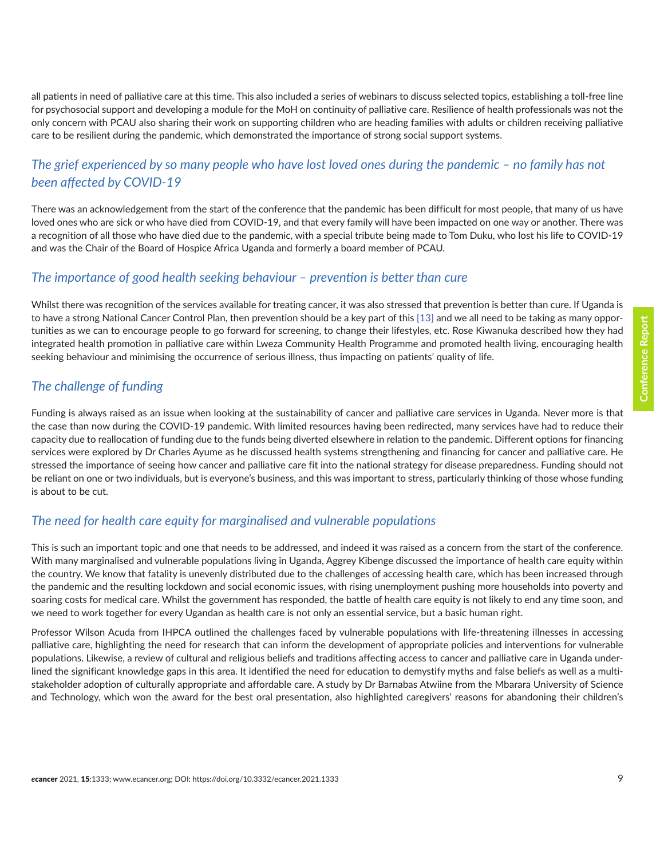all patients in need of palliative care at this time. This also included a series of webinars to discuss selected topics, establishing a toll-free line for psychosocial support and developing a module for the MoH on continuity of palliative care. Resilience of health professionals was not the only concern with PCAU also sharing their work on supporting children who are heading families with adults or children receiving palliative care to be resilient during the pandemic, which demonstrated the importance of strong social support systems.

#### *The grief experienced by so many people who have lost loved ones during the pandemic – no family has not been affected by COVID-19*

There was an acknowledgement from the start of the conference that the pandemic has been difficult for most people, that many of us have loved ones who are sick or who have died from COVID-19, and that every family will have been impacted on one way or another. There was a recognition of all those who have died due to the pandemic, with a special tribute being made to Tom Duku, who lost his life to COVID-19 and was the Chair of the Board of Hospice Africa Uganda and formerly a board member of PCAU.

#### *The importance of good health seeking behaviour – prevention is better than cure*

Whilst there was recognition of the services available for treating cancer, it was also stressed that prevention is better than cure. If Uganda is to have a strong National Cancer Control Plan, then prevention should be a key part of this [\[13\]](#page-10-0) and we all need to be taking as many opportunities as we can to encourage people to go forward for screening, to change their lifestyles, etc. Rose Kiwanuka described how they had integrated health promotion in palliative care within Lweza Community Health Programme and promoted health living, encouraging health seeking behaviour and minimising the occurrence of serious illness, thus impacting on patients' quality of life.

#### *The challenge of funding*

Funding is always raised as an issue when looking at the sustainability of cancer and palliative care services in Uganda. Never more is that the case than now during the COVID-19 pandemic. With limited resources having been redirected, many services have had to reduce their capacity due to reallocation of funding due to the funds being diverted elsewhere in relation to the pandemic. Different options for financing services were explored by Dr Charles Ayume as he discussed health systems strengthening and financing for cancer and palliative care. He stressed the importance of seeing how cancer and palliative care fit into the national strategy for disease preparedness. Funding should not be reliant on one or two individuals, but is everyone's business, and this was important to stress, particularly thinking of those whose funding is about to be cut.

#### *The need for health care equity for marginalised and vulnerable populations*

This is such an important topic and one that needs to be addressed, and indeed it was raised as a concern from the start of the conference. With many marginalised and vulnerable populations living in Uganda, Aggrey Kibenge discussed the importance of health care equity within the country. We know that fatality is unevenly distributed due to the challenges of accessing health care, which has been increased through the pandemic and the resulting lockdown and social economic issues, with rising unemployment pushing more households into poverty and soaring costs for medical care. Whilst the government has responded, the battle of health care equity is not likely to end any time soon, and we need to work together for every Ugandan as health care is not only an essential service, but a basic human right.

Professor Wilson Acuda from IHPCA outlined the challenges faced by vulnerable populations with life-threatening illnesses in accessing palliative care, highlighting the need for research that can inform the development of appropriate policies and interventions for vulnerable populations. Likewise, a review of cultural and religious beliefs and traditions affecting access to cancer and palliative care in Uganda underlined the significant knowledge gaps in this area. It identified the need for education to demystify myths and false beliefs as well as a multistakeholder adoption of culturally appropriate and affordable care. A study by Dr Barnabas Atwiine from the Mbarara University of Science and Technology, which won the award for the best oral presentation, also highlighted caregivers' reasons for abandoning their children's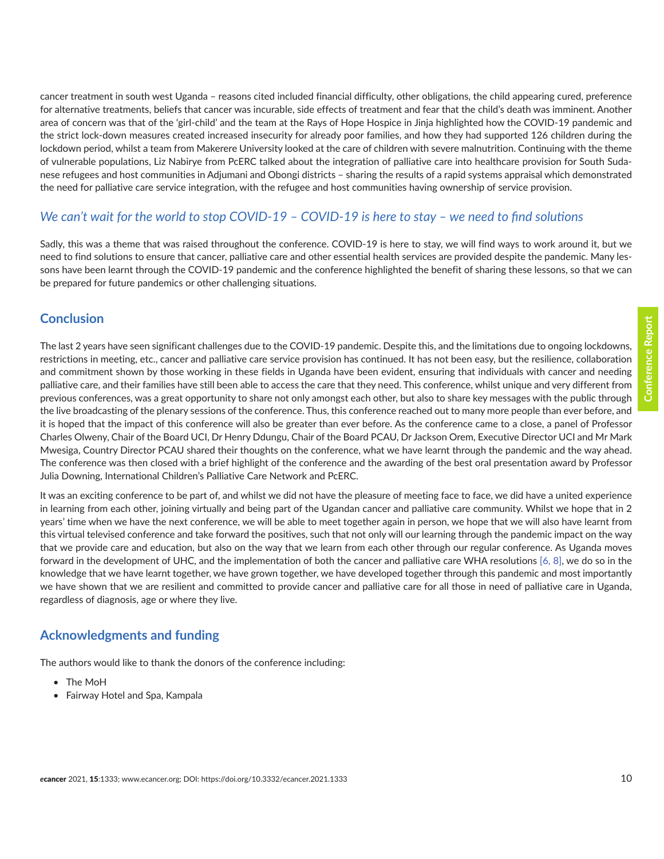cancer treatment in south west Uganda – reasons cited included financial difficulty, other obligations, the child appearing cured, preference for alternative treatments, beliefs that cancer was incurable, side effects of treatment and fear that the child's death was imminent. Another area of concern was that of the 'girl-child' and the team at the Rays of Hope Hospice in Jinja highlighted how the COVID-19 pandemic and the strict lock-down measures created increased insecurity for already poor families, and how they had supported 126 children during the lockdown period, whilst a team from Makerere University looked at the care of children with severe malnutrition. Continuing with the theme of vulnerable populations, Liz Nabirye from PcERC talked about the integration of palliative care into healthcare provision for South Sudanese refugees and host communities in Adjumani and Obongi districts – sharing the results of a rapid systems appraisal which demonstrated the need for palliative care service integration, with the refugee and host communities having ownership of service provision.

#### *We can't wait for the world to stop COVID-19 – COVID-19 is here to stay – we need to find solutions*

Sadly, this was a theme that was raised throughout the conference. COVID-19 is here to stay, we will find ways to work around it, but we need to find solutions to ensure that cancer, palliative care and other essential health services are provided despite the pandemic. Many lessons have been learnt through the COVID-19 pandemic and the conference highlighted the benefit of sharing these lessons, so that we can be prepared for future pandemics or other challenging situations.

#### **Conclusion**

The last 2 years have seen significant challenges due to the COVID-19 pandemic. Despite this, and the limitations due to ongoing lockdowns, restrictions in meeting, etc., cancer and palliative care service provision has continued. It has not been easy, but the resilience, collaboration and commitment shown by those working in these fields in Uganda have been evident, ensuring that individuals with cancer and needing palliative care, and their families have still been able to access the care that they need. This conference, whilst unique and very different from previous conferences, was a great opportunity to share not only amongst each other, but also to share key messages with the public through the live broadcasting of the plenary sessions of the conference. Thus, this conference reached out to many more people than ever before, and it is hoped that the impact of this conference will also be greater than ever before. As the conference came to a close, a panel of Professor Charles Olweny, Chair of the Board UCI, Dr Henry Ddungu, Chair of the Board PCAU, Dr Jackson Orem, Executive Director UCI and Mr Mark Mwesiga, Country Director PCAU shared their thoughts on the conference, what we have learnt through the pandemic and the way ahead. The conference was then closed with a brief highlight of the conference and the awarding of the best oral presentation award by Professor Julia Downing, International Children's Palliative Care Network and PcERC.

It was an exciting conference to be part of, and whilst we did not have the pleasure of meeting face to face, we did have a united experience in learning from each other, joining virtually and being part of the Ugandan cancer and palliative care community. Whilst we hope that in 2 years' time when we have the next conference, we will be able to meet together again in person, we hope that we will also have learnt from this virtual televised conference and take forward the positives, such that not only will our learning through the pandemic impact on the way that we provide care and education, but also on the way that we learn from each other through our regular conference. As Uganda moves forward in the development of UHC, and the implementation of both the cancer and palliative care WHA resolutions [\[6, 8\]](#page-10-0), we do so in the knowledge that we have learnt together, we have grown together, we have developed together through this pandemic and most importantly we have shown that we are resilient and committed to provide cancer and palliative care for all those in need of palliative care in Uganda, regardless of diagnosis, age or where they live.

### **Acknowledgments and funding**

The authors would like to thank the donors of the conference including:

- The MoH
- Fairway Hotel and Spa, Kampala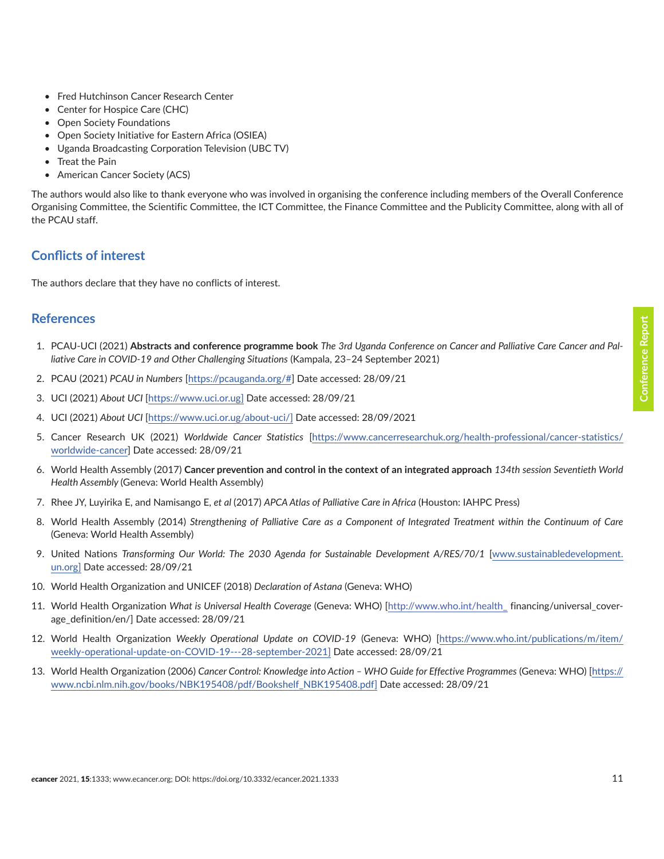- <span id="page-10-0"></span>• Fred Hutchinson Cancer Research Center
- Center for Hospice Care (CHC)
- Open Society Foundations
- Open Society Initiative for Eastern Africa (OSIEA)
- Uganda Broadcasting Corporation Television (UBC TV)
- Treat the Pain
- American Cancer Society (ACS)

The authors would also like to thank everyone who was involved in organising the conference including members of the Overall Conference Organising Committee, the Scientific Committee, the ICT Committee, the Finance Committee and the Publicity Committee, along with all of the PCAU staff.

#### **Conflicts of interest**

The authors declare that they have no conflicts of interest.

#### **References**

- 1. PCAU-UCI (2021) **Abstracts and conference programme book** *The 3rd Uganda Conference on Cancer and Palliative Care Cancer and Palliative Care in COVID-19 and Other Challenging Situations* (Kampala, 23–24 September 2021)
- 2. PCAU (2021) *PCAU in Numbers* [[https://pcauganda.org/#\]](https://pcauganda.org/) Date accessed: 28/09/21
- 3. UCI (2021) *About UCI* [<https://www.uci.or.ug>] Date accessed: 28/09/21
- 4. UCI (2021) *About UCI* [[https://www.uci.or.ug/about-uci/\]](https://www.uci.or.ug/about-uci/) Date accessed: 28/09/2021
- 5. Cancer Research UK (2021) *Worldwide Cancer Statistics* [\[https://www.cancerresearchuk.org/health-professional/cancer-statistics/](https://www.cancerresearchuk.org/health-professional/cancer-statistics/worldwide-cancer) [worldwide-cancer\]](https://www.cancerresearchuk.org/health-professional/cancer-statistics/worldwide-cancer) Date accessed: 28/09/21
- 6. World Health Assembly (2017) **Cancer prevention and control in the context of an integrated approach** *134th session Seventieth World Health Assembly* (Geneva: World Health Assembly)
- 7. Rhee JY, Luyirika E, and Namisango E, *et al* (2017) *APCA Atlas of Palliative Care in Africa* (Houston: IAHPC Press)
- 8. World Health Assembly (2014) *Strengthening of Palliative Care as a Component of Integrated Treatment within the Continuum of Care* (Geneva: World Health Assembly)
- 9. United Nations *Transforming Our World: The 2030 Agenda for Sustainable Development A/RES/70/1* [\[www.sustainabledevelopment.](http://www.sustainabledevelopment.un.org) [un.org](http://www.sustainabledevelopment.un.org)] Date accessed: 28/09/21
- 10. World Health Organization and UNICEF (2018) *Declaration of Astana* (Geneva: WHO)
- 11. World Health Organization *What is Universal Health Coverage* (Geneva: WHO) [[http://www.who.int/health\\_](http://www.who.int/health_) financing/universal\_coverage\_definition/en/] Date accessed: 28/09/21
- 12. World Health Organization *Weekly Operational Update on COVID-19* (Geneva: WHO) [\[https://www.who.int/publications/m/item/](https://www.who.int/publications/m/item/weekly-operational-update-on-covid-19---28-september-2021) [weekly-operational-update-on-COVID-19---28-september-2021\]](https://www.who.int/publications/m/item/weekly-operational-update-on-covid-19---28-september-2021) Date accessed: 28/09/21
- 13. World Health Organization (2006) *Cancer Control: Knowledge into Action WHO Guide for Effective Programmes* (Geneva: WHO) [\[https://](https://www.ncbi.nlm.nih.gov/books/NBK195408/pdf/Bookshelf_NBK195408.pdf) [www.ncbi.nlm.nih.gov/books/NBK195408/pdf/Bookshelf\\_NBK195408.pdf](https://www.ncbi.nlm.nih.gov/books/NBK195408/pdf/Bookshelf_NBK195408.pdf)] Date accessed: 28/09/21